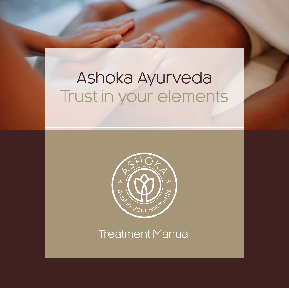## Ashoka Ayurveda Trust in your elements



**Treatment Manual**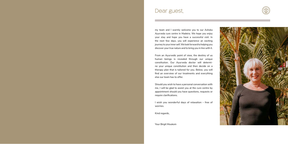## Dear guest,

my team and I warmly welcome you to our Ashoka Ayurveda cure centre in Madeira. We hope you enjoy your stay and hope you have a successful visit. In the next few days, you will experience an exciting journey to your inner self. We look forward to helping you discover your true nature and to bring you in line with it.

From an Ayurvedic point of view, the destiny of us human beings is revealed through our unique constitution. Our Ayurveda doctor will determine your unique constitution and then decide on a therapy plan that is tailored for you. Below, you will find an overview of our treatments and everything else our team has to offer.

Should you wish to have a personal conversation with me, I will be glad to assist you at the cure centre by appointment should you have questions, requests or require clarifications.

I wish you wonderful days of relaxation – free of worries.

Kind regards,

Your Birgit Moukom



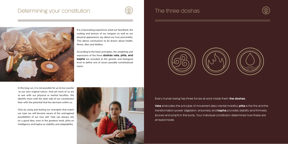## Determining your constitution: The three doshas



In the long run, it is not possible for us to live counter to our own original nature. And yet most of us are at war with our physical or mental faculties. We identify more with the dark side of our constitution than with the potential that lies dormant within us.

Only by using and testing our strengths that match our type we will become aware of the unimagined possibilities of our true self. Vata can always rely on a good idea, even in the greatest need, pitta on intelligence and kapha on stability and adaptability.





It is a fascinating experience what our heartbeat, the coating and texture of our tongues as well as our physical appearance say about our true personality. This allows conclusions to be drawn about health, illness, likes and dislikes.

According to the basic principles, the weighting and expression of the three **doshas vata, pitta, and kapha** are encoded at the genetic and biological level to define one of seven possible constitutional types.

Every human being has three forces at work inside them: **the doshas.**

**Vata** embodies the principle of movement (also mental mobility); **pitta** is the fire and the transformation power (digestion, enzymes); and **kapha** provides stability and firmness (bones and lymph) in the body. Your individual constitution determines how these are arrayed inside.



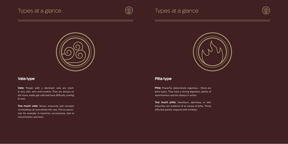

## Types at a glance Types at a glance



## **Vata type**

**Vata:** People with a dominant vata are mostly very slim, wiry and creative. They are always on the move, easily get cold and have difficulty coming to rest.

**Too much vata:** Stress, insecurity and constant overloading can overwhelm the vata. This is expressed, for example, in insomnia, nervousness, lack of concentration and fears.



## **Pitta type**

**Pitta:** Powerful, determined, ingenious – these are pitta types. They have a strong digestion, plenty of assertiveness and are always in action.

**Too much pitta:** Heartburn, diarrhoea, or skin impurities are evidence of an excess of pitta. Those affected quickly respond with irritation.

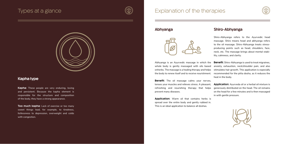### **Abhyanga**

Abhyanga is an Ayurvedic massage in which the whole body is gently massaged with oils based onherbs. The massage is a healing therapy and helps the body to renew itself and to receive nourishment.

**Benefit:** The oil massage calms your nerves, tenses your muscles and relieves stress. A pleasant, refreshing and nourishing therapy that helps prevent many diseases.

**Application:** Warm oil that contains herbs is spread over the entire body and gently rubbed in. This is an ideal application to balance all doshas.





## **Shiro-Abhyanga**

Shiro-Abhyanga refers to the Ayurvedic head massage. Shiro means head and abhyanga refers to the oil massage. Shiro-Abhyanga treats stressproducing points such as head, shoulders, face, neck, etc. The massage brings about mental stability, calmness, and clarity.

**Benefit:** Shiro-Abhyanga is used to treat migraines, anxiety, exhaustion, neck/shoulder pain, and also stimulates hair growth. This application is especially recommended for the pitta dosha, as it reduces the heat in the body.



**Application:** Ayurveda oil or a herbal oil mixture is generously distributed on the head. The oil remains on the head for a few minutes and is then massaged in with gentle pressure.



## **Kapha type**

**Kapha:** These people are very enduring, loving and persistent. Because the kapha element is responsible for the structure and composition of the body, they have a strong appearance.

**Too much kapha:** Lack of exercise or too many sweet things lead, for example, to tiredness, listlessness to depression, overweight and colds with congestion.

## Types at a glance  $(\%)$  Explanation of the therapies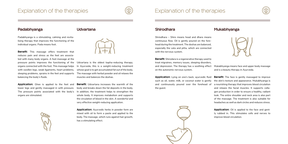### **Shirodhara**

Shriodhara – Shiro means head and dhara means continuous flow. Oil is gently poured on the forehead during the treatment. The doshas are balanced, especially the vata and pitta, which are connected with the nervous system.

**Application:** Lying on one's back, ayurvedic fluid such as oil, water, milk, or coconut water is gently and continuously poured over the forehead of the guest.





**Benefit:** Shirodara is a regenerative therapy used to treat migraines, memory issues, sleeping disorders, and depression. The therapy has a soothing effect on the autonomic nervous system.

> **Benefit:** The face is gently massaged to improve the skin's texture and appearance. Mukabhyanga is a nourishing therapy that improves blood circulation and relaxes the facial muscles. It supports collagen production in order to ensure a healthy, radiant look. The entire shoulder and neck area is also part of the massage. The treatment is also suitable for headaches as well as dark circles and reduces stress.

## **Mukabhyanga**

Mukabhyanga means face and upper body massage and is a beauty therapy in Ayurveda.

**Application:** Oil is applied to the face and gently rubbed in. This stimulates cells and nerves to improve blood circulation.

## Explanation of the therapies  $(\varphi)$  Explanation of the therapies



### **Padabhyanga**

Padabhyanga is a stimulating, calming and revitalising therapy that improves the functioning of the individual organs. Pada means foot.

**Benefit:** This massage offers treatment that reduces pain and stress as the feet are associated with many body organs. A foot massage at the pressure points improves the functioning of the Udvartana is the oldest kapha-reducing therapy. organs connected with the foot. This massage helps with swollen legs, weak ligaments, heart problems, sleeping problems, sprains in the feet and supports balancing the body's fluids.

**Application:** Ghee is applied to the feet and lower legs and gently massaged in with pressure. The pressure points associated with the body's organs are stimulated.





### **Udvartana**

In Ayurveda, this is a weight-reducing treatment whose goal is to get accumulated fat out of the body. The massage with herbal powder and oil relaxes the muscles and balances the doshas.

**Benefit:** Udvartana increases the warmth of the body and breaks down the fat deposits in the body. In addition, the treatment helps to strengthen the whole body. It improves metabolism and supports the circulation of blood in the skin. A wonderful and very effective weight-reducing application.

**Application:** Ayurvedic herbs in powder form are mixed with oil to form a paste and applied to the body. The massage, which runs against hair growth, has a stimulating effect.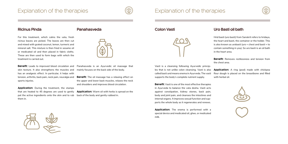### **Colon Vasti**

Vasti is a cleansing following Ayurvedic principles that is not unlike colon cleansing. Vasti is also called basti und means enema in Ayurveda. The vasti supports the body's complete nutrient supply.

**Benefit:** Vasti is one of the most effective therapies in Ayurveda to balance the vata dosha. Vasti acts against constipation, kidney stones, back pain, body and joint pain, and cleanses the intestines and internal organs. It improves sexual function and supports the whole body as it regenerates and renews.

**Benefit:** Removes restlessness and tension from the chest area.



**Application:** The enema is performed with a special device and medicated oil, ghee, or medicated milk.







## **Uro Basti oil bath**

Hrid basti (uro basti) from Sanskrit refers to hridaya, the heart and basti, the container or the holder. This is also known as urobasti (uro  $=$  chest and basti  $=$  to contain something in you). So uro basti is an oil bath in the heart area.

**Application:** A ring (pool) made with chickpea flour dough is placed on the breastbone and filled with herbal oil.

**Benefit:** The oil massage has a relaxing effect on the upper and lower back muscles, relaxes the neck and shoulders and improves blood circulation.

## Explanation of the therapies  $(\varphi)$  Explanation of the therapies



## **Ricinus Pinda**

For this treatment, which calms the vata, fresh ricinus leaves are picked. The leaves are then cut and mixed with grated coconut, lemon, turmeric and mineral salt. This mixture is then fried in sesame oil or medicated oil and then placed in fabric cloths. These are then used to form bags with which the treatment is carried out.

**Benefit:** Leads to improved blood circulation and skin texture. It also strengthens the muscles and has an analgesic effect. In particular, it helps with tension, arthritis, back pain, neck pain, neuralgia and sports injuries.

**Application:** During the treatment, the stamps that are heated to 45 degrees are used to gently pat the active ingredients onto the skin and to rub back of the body and gently rubbed in. them in.

### **Panahasveda**



Panahasveda is an Ayurvedic oil massage that mainly focuses on the back side of the body.

**Application:** Warm oil with herbs is spread on the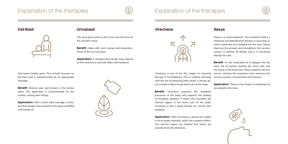## Explanation of the therapies  $(\varphi)$  Explanation of the therapies







Kati means lumbar spine. This oil bath focusses on the back and is complemented by an appropriate massage.

**Benefit:** Relieves pain and tension in the lumbar spine. The application is recommended for the sciatica, among other things.

**Benefit:** Helps with neck cramps and osteochondrosis of the cervical spine.

**Application:** After a short back massage a chickpea flour dough ring is placed on the spine and filled with herbal oil.



### **Grivabasti**

The word griva refers to the cervix and the focus of this oil bath is here.

> **Benefit:** Virechana improves the metabolic processes of the body and supports the healing of metabolic diseases. It cleans and nourishes the internal organs in the lower part of the body. Virechana is also a good therapy for various skin problems.

**Application:** A chickpea flour dough ring is placed on the neck/cervix and with filled with herbal oil

.

### **Virechana**



Virechana is one of the five stages of cleansing therapy in Panchakarma. This is medical cleansing with the aim of balancing pitta-dosha. It brings about a laxative effect to get toxins out of the body.

**Benefit:** As the medicated oil is dripped into the nose, the oil quickly reaches the nerve cells and the tissue in the head area. Nasya supports the five senses, cleanses the respiratory tract, improves the nervous system, concentration and memory.

**Application:** With Virechana, a special oil is taken in on an empty stomach, which has a laxative effect. The internal organs are cleaned and toxins are excreted from the intestines.





## **Nasya**

Nasya is a nasal treatment. This treatment offers a cleansing and detoxification therapy in Ayurveda, in which medicated oil is dripped into the nose. Nasya improves the airways and strengthens the nervous system. It soothes all doshas and is a nourishing therapy for vata.

**Application:** Three to five drops of medicated oil are placed in the nose.

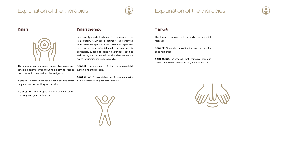## Explanation of the therapies  $(\circled{r})$  Explanation of the therapies



### **Kalari**



This marma-point massage releases blockages and tension patterns throughout the body to reduce pressure and stress in the spine and joints.

**Benefit:** This treatment has a lasting positive effect Kalari elements using specific Kalari oil. on pain, posture, mobility and vitality.

**Application:** Warm, specific Kalari oil is spread on the body and gently rubbed in.

## **Kalari therapy**

**Benefit:** Supports detoxification and allows for deep relaxation.

Intensive Ayurveda treatment for the musculoskeletal system. Ayurveda is optimally supplemented with Kalari therapy, which dissolves blockages and tensions on the myofascial level. The treatment is particularly suitable for relaxing your body cavities and the organs they contain so that they have more space to function more dynamically.

**Benefit:** Improvement of the musculoskeletal system and thus mobility.

**Application:** Ayurvedic treatments combined with

## **Trimurti**

The Trimurti is an Ayurvedic full body pressure point massage.

**Application:** Warm oil that contains herbs is spread over the entire body and gently rubbed in.





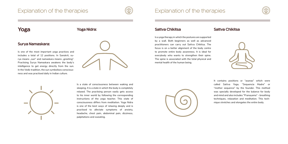## Explanation of the therapies  $(\%)$  Explanation of the therapies



## **Yoga**

## **Surya Namaskara:**

Is one of the most important yoga practices and includes a total of 12 positions. In Sanskrit, surva means ..sun" and namaskara means ..greeting". Practising Surya Namaskara awakens the body's intelligence to get energy directly from the sun. In the Vedic tradition, the sun symbolises consciousness and was practised daily in Indian culture.





## **Yoga Nidra:**

Is a state of consciousness between waking and sleeping. It is a state in which the body is completely relaxed. The practising person easily gets access to his inner world by following the corresponding instructions of the yoga teacher. This state of consciousness differs from meditation. Yoga Nidra is one of the best ways of relaxing deeply and is practised to alleviate symptoms of anxiety, headache, chest pain, abdominal pain, dizziness, palpitations and sweating.

## **Sattva Chikitsa**

Is a yoga therapy in which the postures are supported by a wall. Both beginners as well as advanced practitioners can carry out Sattva Chikitsa. The focus is on a better alignment of the body centre to promote entire body awareness. It is ideal for everybody who wants to strengthen their spine. The spine is associated with the total physical and mental health of the human being.



## **Sattva Chikitsa**



It contains positions or "asanas" which were called Sattva Yoga, "Sequencia Madre" or "mother sequence" by the founder. This method was specially developed for the balance for body and mind and also includes "Pranayama" – breathing techniques, relaxation and meditation. This technique stretches and elongates the entire body.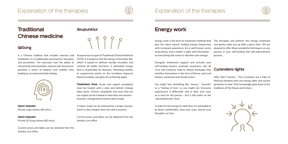## **Energy work**

Energy work is the term for treatment methods that The therapist will perform the energy treatment give the client natural, healing energy frequencies with increased awareness. As is well known, every living being, every matter is light and information – so everything that exists is vibration and energy!

You might feel something like "waves," "warmth" or a "feeling of love", or you might not. Everyone experiences it differently and in their own way, as is best for the person – but it still works on the "spiritual/mental" level.

Energetic treatments support and activate your self-healing powers, promote awareness, joie de vivre and creativity, help to release blockages that manifest themselves in the form of illness, pain and tension, emotional and mental stress.

In order for the energy to really flow, it is advisable to lie down comfortably, close your eyes, and let your thoughts run free.



# **Akupunktur** 99999

and gently wake you up after a given time. We are pleased to offer these wonderful techniques as you journey in your self-healing and self-improvement process.

## **Curandero-lights**

After Starr Fuentes – The Curandero are a tribe of Mexican shamans who use energy, light, and sacred geometry to heal. Their knowledge goes back to the traditions of the Mayas and Aztecs.



**Treatment time:** Acute and urgent complaints must be treated until a clear and distinct change takes place. Chronic complaints and ones that are not urgent can be treated in more than one session – however, change/improvement takes longer.



## **Traditional Chinese medicine**

## **QiGong**

is a Chinese tradition that includes exercise and meditation. It is traditionally practised for relaxation and prevention. The exercises train the ability to concentrate and remember, improve self-awareness, promote a sense of balance and mobility thus leading to an improved body feeling.



**Upon request**  Private yoga classes (60 mins.)

**Upon request** Private Qi Gong classes (60 mins.)

*Current prices and dates can be obtained from the Ashoka cure office.*

Acupuncture is a part of Traditional Chinese Medicine (TCM). It is based on the life energy of the body (Qi), which is based on defined meridia circulates and controls all bodily functions. A disturbed energy flow is responsible for diseases. Attaching needles to acupuncture points on the meridians improves blood circulation and gets the qi flowing again.

A faster result can be achieved by a longer session, which is also cheaper than two short sessions.

*Current prices and dates can be obtained from the Ashoka cure office.*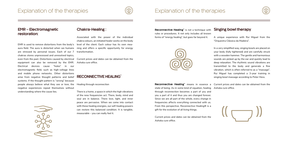## Explanation of the therapies  $(\%)$  Explanation of the therapies



## **EMR – Electromagnetic restoration:**

EMR is used to remove distortions from the body's level of the client. Each colour has its own meaaura field. The aura is distorted when we humans ning and offers a specific opportunity for energy are stressed by personal issues. Each of our 7 transformation. chakras stores unprocessed and unresolved topics, even from the past. Distortions caused by electrical equipment can also be removed by the EMR. Electrical devices cause "holes" in our electromagnetic field, such as high-voltage lines and mobile phone networks. Other distortions arise from negative thought patterns and belief systems. If the thought pattern is "wrong" because people always believe what they see or love, the Healing through reconnection negative experiences repeat themselves without understanding where the cause lies.



### **Chakra-Healing :**

**Reconnective Healing<sup>®</sup>** is not a technique with rules or procedures. It not only includes all known forms of "energy healing", but goes far beyond it.



Associated with the power of the individual chakra colours, an initiated healer works on the body

*Current prices and dates can be obtained from the Ashoka cure office.*

## **RECONNECTIVE HEALING®**

There is a home, a space in which the high vibrations of the new frequencies act. There, body, mind and soul are in balance. There love, light, and inner peace are pervasive. When we come into contact with these healing energies, our self-healing powers can restore this balanced condition. It is tangible, measurable – you can really feel it.

**Reconnective Healing®** means in essence a state of being. As in some kind of equation, healing through reconnection becomes a part of you and you a part of it and thus you are changed forever. Since we are all part of the whole, every change in frequencies affects everything connected with us. From this perspective, Reconnective Healing® is a gift for the evolution of all living things.

*Current prices and dates can be obtained from the Ashoka cure office.*



## **Singing bowl therapy**

A unique experience with Rui Miguel from the "Orquestra Clássica da Madeira".

In a very simplified way, singing bowls are placed on your body (fully tightened) and are carefully struck with a wooden hammer. The gentle and harmonious sounds are picked up by the ear and quickly lead to deep relaxation. The rhythmic sound vibrations are transmitted to the body and generate a fine vibration, which is often referred to as a "massage". Rui Miguel has completed a 3-year training in singing bowl massage according to Peter Hess.

*Current prices and dates can be obtained from the Ashoka cure office.*

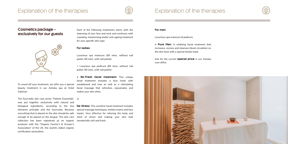## Explanation of the therapies  $(\varphi)$  Explanation of the therapies



## **Cosmetics package – exclusively for our guests**



To round off your treatment, we offer you a special beauty treatment in our Ashoka spa at Hotel Galomar:

The Ayurvedic skin care series "Holistic Essentials" or was put together exclusively with natural and biological ingredients, according to the five **De-Stress:** This sensitive facial treatment includes elements principle and the Ayurveda. Because special massage techniques, herbal creams and face everything that is placed on the skin should be safe masks. Very effective for relieving the body and enough to be placed on the tongue. The skin care mind of stress and making your skin look collection has been registered as an organic wonderfully soft and fresh. producer with the "Organic Farmer's & Grower's Association" of the UK, the world's oldest organic certification association.

Each of the following treatments starts with the cleansing of your face and neck and continues with a peeling, moisturising and/or anti-ageing treatment for your specific skin type.

### **For ladies:**

Luxurious spa manicure (60 mins. without nail polish, 80 mins. with nail polish)

+ Luxurious spa pedicure (60 mins. without nail polish, 80 mins. with nail polish)

**+ Re-Fresh facial treatment:** This unique facial treatment includes a face mask with sandalwood and rose as well as a stimulating facial massage that refreshes, rejuvenates and makes your skin shine.

### **For men:**

Luxurious spa manicure & pedicure

**+ Pure Men:** A vitalising facial treatment that increases, revives and cleanses blood circulation on the skin level with a special herbal mask.

*Ask for the current* **special price** *in our Ashoka cure office.*



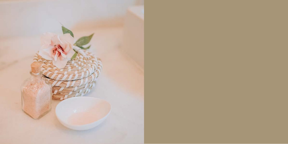